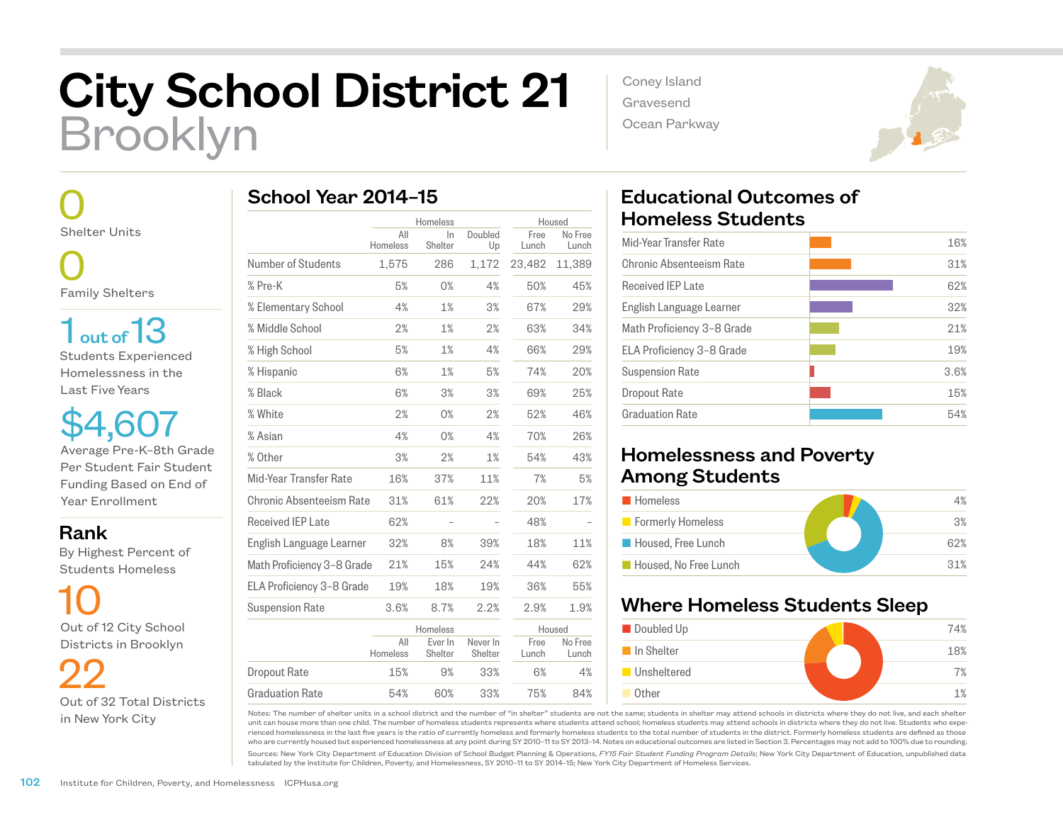# City School District 21 Brooklyn

 0 Shelter Units

 0 Family Shelters

1 out of 13

Students Experienced Homelessness in the Last Five Years

\$4,607 Average Pre-K–8th Grade Per Student Fair Student Funding Based on End of Year Enrollment

Rank

 By Highest Percent of Students Homeless

 10 Out of 12 City School Districts in Brooklyn

 22 Out of 32 Total Districts in New York City

|                            | Homeless        |                    | Housed              |               |                  |
|----------------------------|-----------------|--------------------|---------------------|---------------|------------------|
|                            | All<br>Homeless | In<br>Shelter      | Doubled<br>Up       | Free<br>Lunch | No Free<br>Lunch |
| Number of Students         | 1,575           | 286                | 1,172               | 23,482        | 11,389           |
| % Pre-K                    | 5%              | 0%                 | 4%                  | 50%           | 45%              |
| % Elementary School        | 4%              | 1%                 | 3%                  | 67%           | 29%              |
| % Middle School            | 2%              | 1%                 | 2%                  | 63%           | 34%              |
| % High School              | 5%              | 1%                 | 4%                  | 66%           | 29%              |
| % Hispanic                 | 6%              | 1%                 | 5%                  | 74%           | 20%              |
| % Black                    | 6%              | 3%                 | 3%                  | 69%           | 25%              |
| % White                    | 2%              | 0%                 | 2%                  | 52%           | 46%              |
| % Asian                    | 4%              | 0%                 | 4%                  | 70%           | 26%              |
| % Other                    | 3%              | 2%                 | 1%                  | 54%           | 43%              |
| Mid-Year Transfer Rate     | 16%             | 37%                | 11%                 | 7%            | 5%               |
| Chronic Absenteeism Rate   | 31%             | 61%                | 22%                 | 20%           | 17%              |
| <b>Received IEP Late</b>   | 62%             |                    |                     | 48%           |                  |
| English Language Learner   | 32%             | 8%                 | 39%                 | 18%           | 11%              |
| Math Proficiency 3-8 Grade | 21%             | 15%                | 24%                 | 44%           | 62%              |
| ELA Proficiency 3-8 Grade  | 19%             | 18%                | 19%                 | 36%           | 55%              |
| <b>Suspension Rate</b>     | 3.6%            | 8.7%               | 2.2%                | 2.9%          | 1.9%             |
|                            |                 | Homeless           |                     | Housed        |                  |
|                            | All<br>Homeless | Ever In<br>Shelter | Never In<br>Shelter | Free<br>Lunch | No Free<br>Lunch |
| Dropout Rate               | 15%             | 9%                 | 33%                 | 6%            | 4%               |

54% 60% 33% 75% 84%

Coney Island Gravesend Ocean Parkway



# Educational Outcomes of Homeless Students

| Mid-Year Transfer Rate     | 16%  |
|----------------------------|------|
| Chronic Absenteeism Rate   | 31%  |
| <b>Received IEP Late</b>   | 62%  |
| English Language Learner   | 32%  |
| Math Proficiency 3-8 Grade | 21%  |
| ELA Proficiency 3-8 Grade  | 19%  |
| <b>Suspension Rate</b>     | 3.6% |
| Dropout Rate               | 15%  |
| <b>Graduation Rate</b>     | 54%  |
|                            |      |

### Homelessness and Poverty Among Students

| <b>Homeless</b>       | 4%  |
|-----------------------|-----|
| Formerly Homeless     | 3%  |
| Housed, Free Lunch    | 62% |
| Housed. No Free Lunch | 31% |

## Where Homeless Students Sleep



Notes: The number of shelter units in a school district and the number of "in shelter" students are not the same; students in shelter may attend schools in districts where they do not live, and each shelter unit can house more than one child. The number of homeless students represents where students attend school; homeless students may attend schools in districts where they do not live. Students who experienced homelessness in the last five years is the ratio of currently homeless and formerly homeless students to the total number of students in the district. Formerly homeless students are defined as those who are currently housed but experienced homelessness at any point during SY 2010–11 to SY 2013–14. Notes on educational outcomes are listed in Section 3. Percentages may not add to 100% due to rounding.

Sources: New York City Department of Education Division of School Budget Planning & Operations, *FY15 Fair Student Funding Program Details*; New York City Department of Education, unpublished data tabulated by the Institute for Children, Poverty, and Homelessness, SY 2010–11 to SY 2014–15; New York City Department of Homeless Services.

Graduation Rate